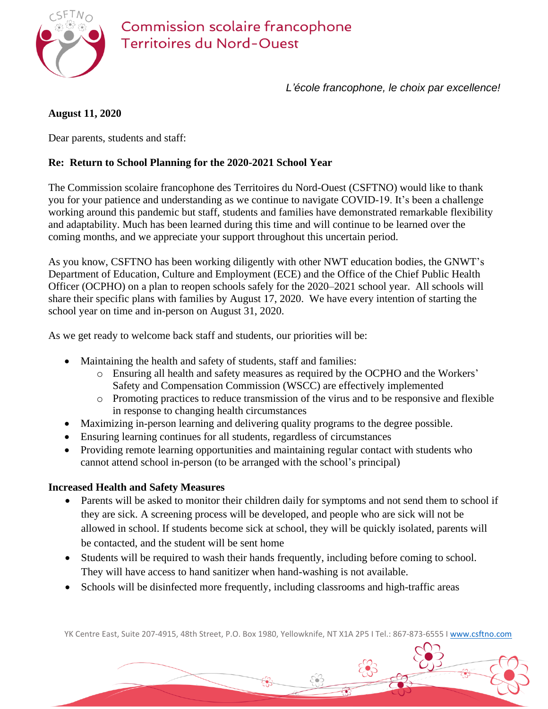

*L'école francophone, le choix par excellence!*

## **August 11, 2020**

Dear parents, students and staff:

#### **Re: Return to School Planning for the 2020-2021 School Year**

The Commission scolaire francophone des Territoires du Nord-Ouest (CSFTNO) would like to thank you for your patience and understanding as we continue to navigate COVID-19. It's been a challenge working around this pandemic but staff, students and families have demonstrated remarkable flexibility and adaptability. Much has been learned during this time and will continue to be learned over the coming months, and we appreciate your support throughout this uncertain period.

As you know, CSFTNO has been working diligently with other NWT education bodies, the GNWT's Department of Education, Culture and Employment (ECE) and the Office of the Chief Public Health Officer (OCPHO) on a plan to reopen schools safely for the 2020–2021 school year. All schools will share their specific plans with families by August 17, 2020. We have every intention of starting the school year on time and in-person on August 31, 2020.

As we get ready to welcome back staff and students, our priorities will be:

- Maintaining the health and safety of students, staff and families:
	- o Ensuring all health and safety measures as required by the OCPHO and the Workers' Safety and Compensation Commission (WSCC) are effectively implemented
	- o Promoting practices to reduce transmission of the virus and to be responsive and flexible in response to changing health circumstances
- Maximizing in-person learning and delivering quality programs to the degree possible.
- Ensuring learning continues for all students, regardless of circumstances
- Providing remote learning opportunities and maintaining regular contact with students who cannot attend school in-person (to be arranged with the school's principal)

#### **Increased Health and Safety Measures**

- Parents will be asked to monitor their children daily for symptoms and not send them to school if they are sick. A screening process will be developed, and people who are sick will not be allowed in school. If students become sick at school, they will be quickly isolated, parents will be contacted, and the student will be sent home
- Students will be required to wash their hands frequently, including before coming to school. They will have access to hand sanitizer when hand-washing is not available.
- Schools will be disinfected more frequently, including classrooms and high-traffic areas

YK Centre East, Suite 207-4915, 48th Street, P.O. Box 1980, Yellowknife, NT X1A 2P5 I Tel.: 867-873-6555 I [www.csftno.com](http://www.csftno.com/)

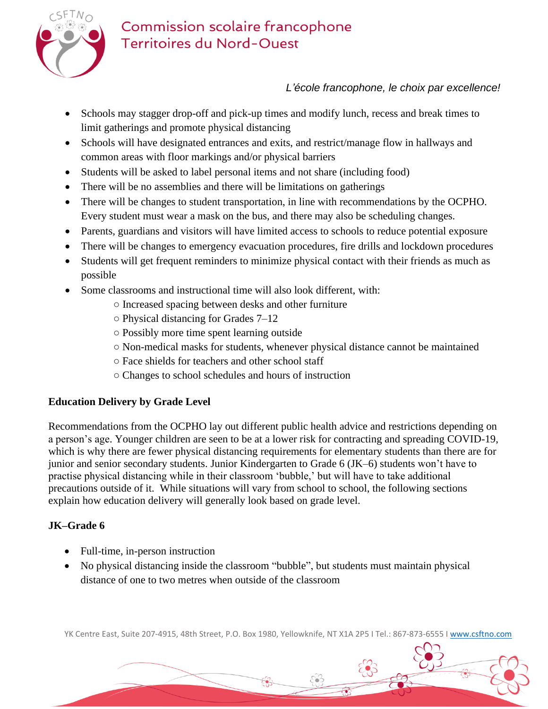

# Commission scolaire francophone **Territoires du Nord-Ouest**

# *L'école francophone, le choix par excellence!*

- Schools may stagger drop-off and pick-up times and modify lunch, recess and break times to limit gatherings and promote physical distancing
- Schools will have designated entrances and exits, and restrict/manage flow in hallways and common areas with floor markings and/or physical barriers
- Students will be asked to label personal items and not share (including food)
- There will be no assemblies and there will be limitations on gatherings
- There will be changes to student transportation, in line with recommendations by the OCPHO. Every student must wear a mask on the bus, and there may also be scheduling changes.
- Parents, guardians and visitors will have limited access to schools to reduce potential exposure
- There will be changes to emergency evacuation procedures, fire drills and lockdown procedures
- Students will get frequent reminders to minimize physical contact with their friends as much as possible
- Some classrooms and instructional time will also look different, with:
	- Increased spacing between desks and other furniture
	- Physical distancing for Grades 7–12
	- Possibly more time spent learning outside
	- Non-medical masks for students, whenever physical distance cannot be maintained
	- Face shields for teachers and other school staff
	- Changes to school schedules and hours of instruction

## **Education Delivery by Grade Level**

Recommendations from the OCPHO lay out different public health advice and restrictions depending on a person's age. Younger children are seen to be at a lower risk for contracting and spreading COVID-19, which is why there are fewer physical distancing requirements for elementary students than there are for junior and senior secondary students. Junior Kindergarten to Grade 6 (JK–6) students won't have to practise physical distancing while in their classroom 'bubble,' but will have to take additional precautions outside of it. While situations will vary from school to school, the following sections explain how education delivery will generally look based on grade level.

## **JK–Grade 6**

- Full-time, in-person instruction
- No physical distancing inside the classroom "bubble", but students must maintain physical distance of one to two metres when outside of the classroom

YK Centre East, Suite 207-4915, 48th Street, P.O. Box 1980, Yellowknife, NT X1A 2P5 I Tel.: 867-873-6555 I [www.csftno.com](http://www.csftno.com/)

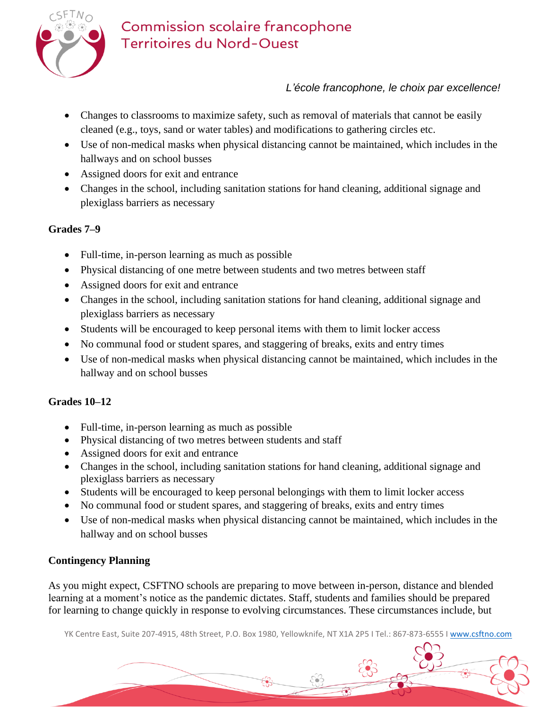

# *L'école francophone, le choix par excellence!*

- Changes to classrooms to maximize safety, such as removal of materials that cannot be easily cleaned (e.g., toys, sand or water tables) and modifications to gathering circles etc.
- Use of non-medical masks when physical distancing cannot be maintained, which includes in the hallways and on school busses
- Assigned doors for exit and entrance
- Changes in the school, including sanitation stations for hand cleaning, additional signage and plexiglass barriers as necessary

## **Grades 7–9**

- Full-time, in-person learning as much as possible
- Physical distancing of one metre between students and two metres between staff
- Assigned doors for exit and entrance
- Changes in the school, including sanitation stations for hand cleaning, additional signage and plexiglass barriers as necessary
- Students will be encouraged to keep personal items with them to limit locker access
- No communal food or student spares, and staggering of breaks, exits and entry times
- Use of non-medical masks when physical distancing cannot be maintained, which includes in the hallway and on school busses

## **Grades 10–12**

- Full-time, in-person learning as much as possible
- Physical distancing of two metres between students and staff
- Assigned doors for exit and entrance
- Changes in the school, including sanitation stations for hand cleaning, additional signage and plexiglass barriers as necessary
- Students will be encouraged to keep personal belongings with them to limit locker access
- No communal food or student spares, and staggering of breaks, exits and entry times
- Use of non-medical masks when physical distancing cannot be maintained, which includes in the hallway and on school busses

## **Contingency Planning**

As you might expect, CSFTNO schools are preparing to move between in-person, distance and blended learning at a moment's notice as the pandemic dictates. Staff, students and families should be prepared for learning to change quickly in response to evolving circumstances. These circumstances include, but

YK Centre East, Suite 207-4915, 48th Street, P.O. Box 1980, Yellowknife, NT X1A 2P5 I Tel.: 867-873-6555 I [www.csftno.com](http://www.csftno.com/)